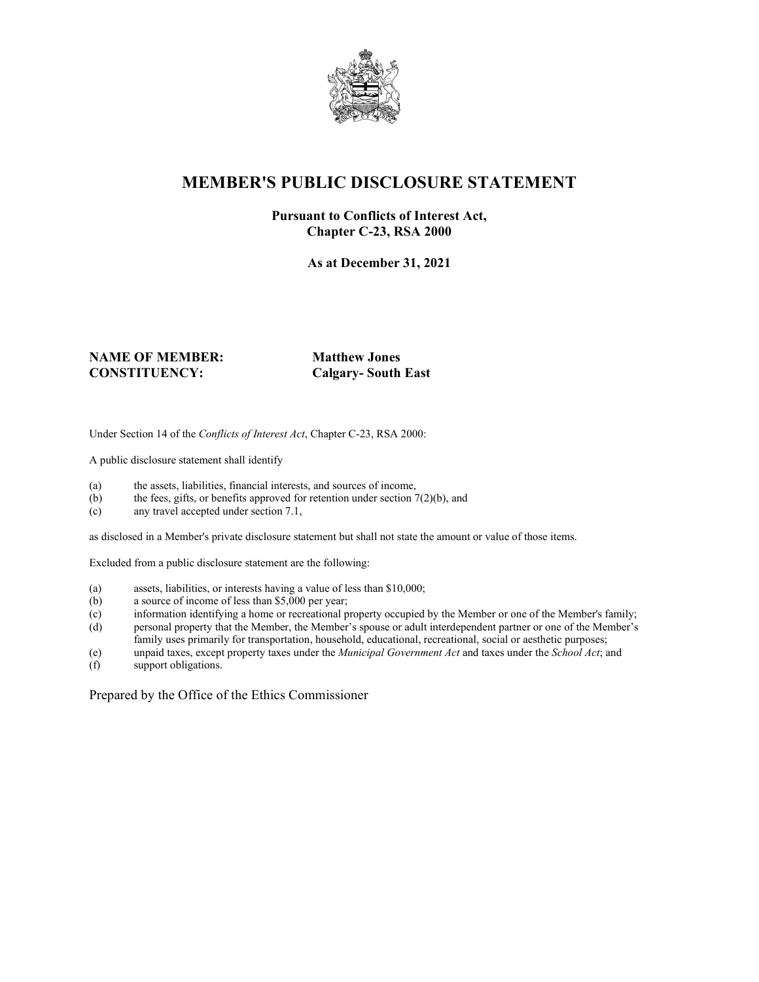

# **MEMBER'S PUBLIC DISCLOSURE STATEMENT**

#### **Pursuant to Conflicts of Interest Act, Chapter C-23, RSA 2000**

**As at December 31, 2021**

#### **NAME OF MEMBER: Matthew Jones CONSTITUENCY: Calgary- South East**

Under Section 14 of the *Conflicts of Interest Act*, Chapter C-23, RSA 2000:

A public disclosure statement shall identify

- (a) the assets, liabilities, financial interests, and sources of income,
- (b) the fees, gifts, or benefits approved for retention under section  $7(2)(b)$ , and
- (c) any travel accepted under section 7.1,

as disclosed in a Member's private disclosure statement but shall not state the amount or value of those items.

Excluded from a public disclosure statement are the following:

- (a) assets, liabilities, or interests having a value of less than \$10,000;
- (b) a source of income of less than \$5,000 per year;
- (c) information identifying a home or recreational property occupied by the Member or one of the Member's family;
- (d) personal property that the Member, the Member's spouse or adult interdependent partner or one of the Member's family uses primarily for transportation, household, educational, recreational, social or aesthetic purposes;
- (e) unpaid taxes, except property taxes under the *Municipal Government Act* and taxes under the *School Act*; and
- support obligations.

Prepared by the Office of the Ethics Commissioner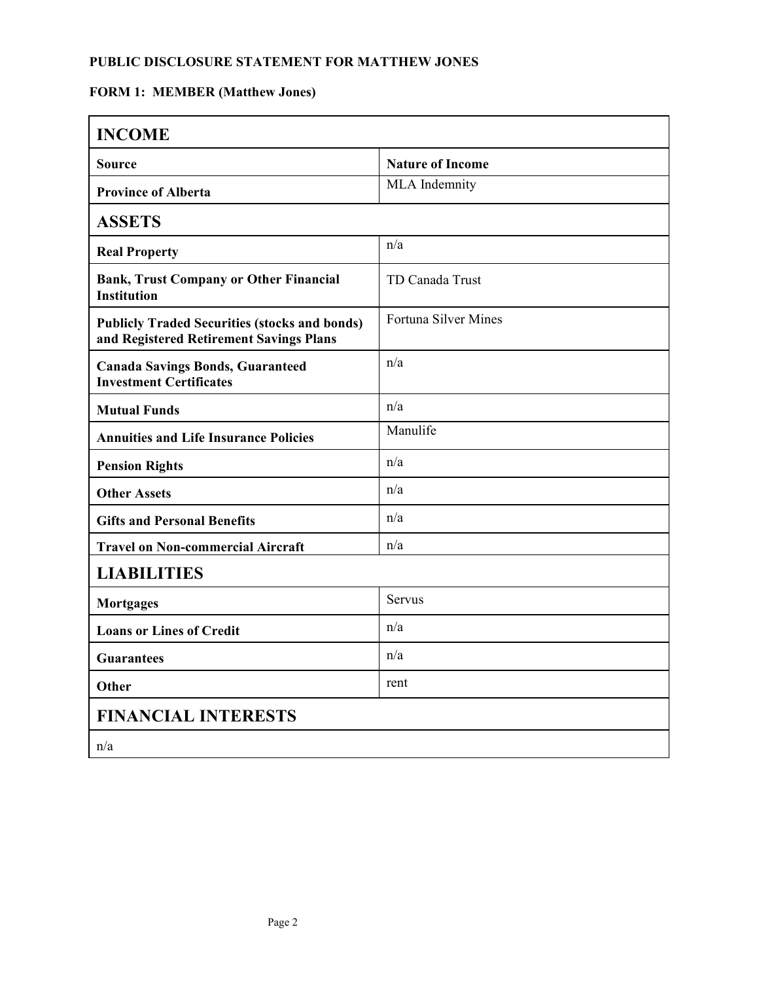### **PUBLIC DISCLOSURE STATEMENT FOR MATTHEW JONES**

# **FORM 1: MEMBER (Matthew Jones)**

| <b>INCOME</b>                                                                                   |                             |
|-------------------------------------------------------------------------------------------------|-----------------------------|
| <b>Source</b>                                                                                   | <b>Nature of Income</b>     |
| <b>Province of Alberta</b>                                                                      | MLA Indemnity               |
| <b>ASSETS</b>                                                                                   |                             |
| <b>Real Property</b>                                                                            | n/a                         |
| <b>Bank, Trust Company or Other Financial</b><br><b>Institution</b>                             | TD Canada Trust             |
| <b>Publicly Traded Securities (stocks and bonds)</b><br>and Registered Retirement Savings Plans | <b>Fortuna Silver Mines</b> |
| <b>Canada Savings Bonds, Guaranteed</b><br><b>Investment Certificates</b>                       | n/a                         |
| <b>Mutual Funds</b>                                                                             | n/a                         |
| <b>Annuities and Life Insurance Policies</b>                                                    | Manulife                    |
| <b>Pension Rights</b>                                                                           | n/a                         |
| <b>Other Assets</b>                                                                             | n/a                         |
| <b>Gifts and Personal Benefits</b>                                                              | n/a                         |
| <b>Travel on Non-commercial Aircraft</b>                                                        | n/a                         |
| <b>LIABILITIES</b>                                                                              |                             |
| <b>Mortgages</b>                                                                                | Servus                      |
| <b>Loans or Lines of Credit</b>                                                                 | n/a                         |
| <b>Guarantees</b>                                                                               | n/a                         |
| Other                                                                                           | rent                        |
| <b>FINANCIAL INTERESTS</b>                                                                      |                             |
| n/a                                                                                             |                             |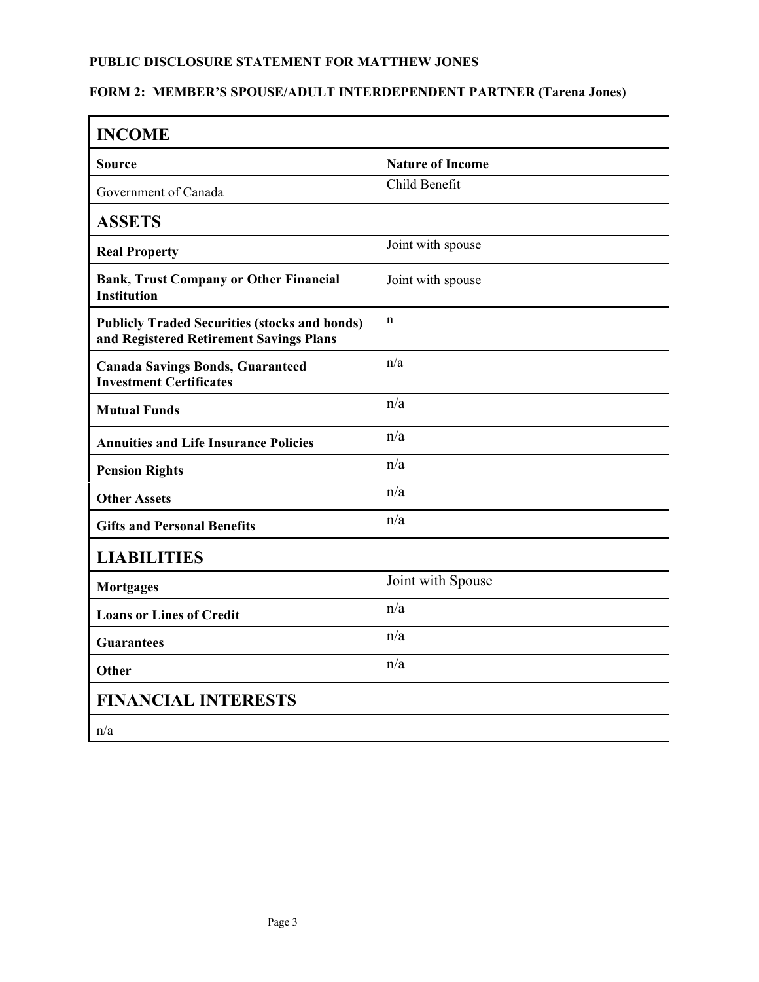### **PUBLIC DISCLOSURE STATEMENT FOR MATTHEW JONES**

# **FORM 2: MEMBER'S SPOUSE/ADULT INTERDEPENDENT PARTNER (Tarena Jones)**

| <b>INCOME</b>                                                                                   |                         |
|-------------------------------------------------------------------------------------------------|-------------------------|
| <b>Source</b>                                                                                   | <b>Nature of Income</b> |
| Government of Canada                                                                            | Child Benefit           |
| <b>ASSETS</b>                                                                                   |                         |
| <b>Real Property</b>                                                                            | Joint with spouse       |
| <b>Bank, Trust Company or Other Financial</b><br><b>Institution</b>                             | Joint with spouse       |
| <b>Publicly Traded Securities (stocks and bonds)</b><br>and Registered Retirement Savings Plans | $\mathbf n$             |
| <b>Canada Savings Bonds, Guaranteed</b><br><b>Investment Certificates</b>                       | n/a                     |
| <b>Mutual Funds</b>                                                                             | n/a                     |
| <b>Annuities and Life Insurance Policies</b>                                                    | n/a                     |
| <b>Pension Rights</b>                                                                           | n/a                     |
| <b>Other Assets</b>                                                                             | n/a                     |
| <b>Gifts and Personal Benefits</b>                                                              | n/a                     |
| <b>LIABILITIES</b>                                                                              |                         |
| <b>Mortgages</b>                                                                                | Joint with Spouse       |
| <b>Loans or Lines of Credit</b>                                                                 | n/a                     |
| <b>Guarantees</b>                                                                               | n/a                     |
| Other                                                                                           | n/a                     |
| <b>FINANCIAL INTERESTS</b>                                                                      |                         |
| n/a                                                                                             |                         |